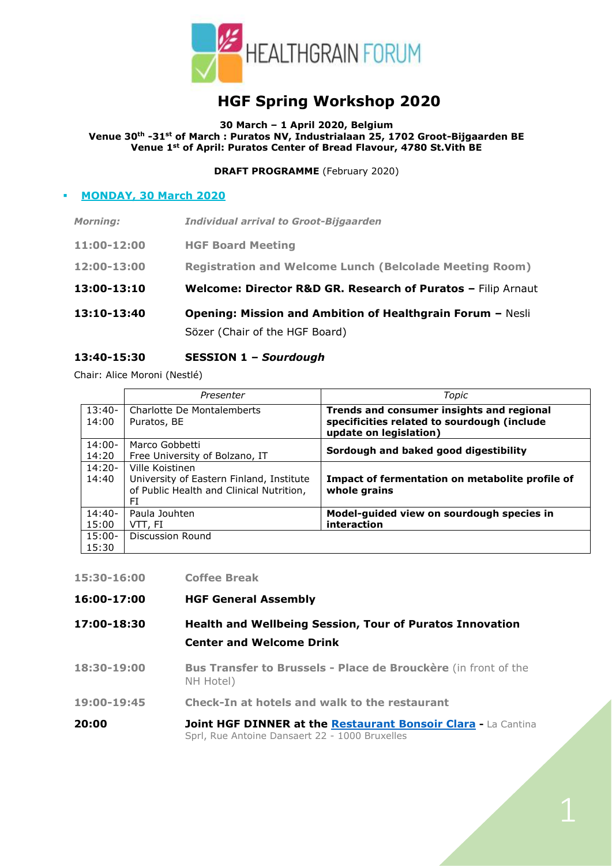

# **HGF Spring Workshop 2020**

**30 March – 1 April 2020, Belgium**

**Venue 30th -31st of March : Puratos NV, Industrialaan 25, 1702 Groot-Bijgaarden BE Venue 1st of April: Puratos Center of Bread Flavour, 4780 St.Vith BE**

**DRAFT PROGRAMME** (February 2020)

## **MONDAY, 30 March 2020**

|                 | Sözer (Chair of the HGF Board)                                    |
|-----------------|-------------------------------------------------------------------|
| 13:10-13:40     | <b>Opening: Mission and Ambition of Healthgrain Forum - Nesli</b> |
| 13:00-13:10     | Welcome: Director R&D GR. Research of Puratos - Filip Arnaut      |
| 12:00-13:00     | <b>Registration and Welcome Lunch (Belcolade Meeting Room)</b>    |
| 11:00-12:00     | <b>HGF Board Meeting</b>                                          |
| <b>Morning:</b> | <b>Individual arrival to Groot-Bijgaarden</b>                     |

## **13:40-15:30 SESSION 1 –** *Sourdough*

Chair: Alice Moroni (Nestlé)

|                   | Presenter                                 | Topic                                                                                    |
|-------------------|-------------------------------------------|------------------------------------------------------------------------------------------|
| $13:40-$<br>14:00 | Charlotte De Montalemberts<br>Puratos, BE | Trends and consumer insights and regional<br>specificities related to sourdough (include |
|                   |                                           | update on legislation)                                                                   |
| $14:00-$          | Marco Gobbetti                            | Sordough and baked good digestibility                                                    |
| 14:20             | Free University of Bolzano, IT            |                                                                                          |
| $14:20-$          | Ville Koistinen                           |                                                                                          |
| 14:40             | University of Eastern Finland, Institute  | Impact of fermentation on metabolite profile of                                          |
|                   | of Public Health and Clinical Nutrition,  | whole grains                                                                             |
|                   | FI                                        |                                                                                          |
| $14:40-$          | Paula Jouhten                             | Model-guided view on sourdough species in                                                |
| 15:00             | VTT, FI                                   | interaction                                                                              |
| $15:00-$          | Discussion Round                          |                                                                                          |
| 15:30             |                                           |                                                                                          |

|  |  | 15:30-16:00 | <b>Coffee Break</b> |  |
|--|--|-------------|---------------------|--|
|--|--|-------------|---------------------|--|

- **16:00-17:00 HGF General Assembly**
- **17:00-18:30 Health and Wellbeing Session, Tour of Puratos Innovation Center and Welcome Drink**
- **18:30-19:00 Bus Transfer to Brussels - Place de Brouckère** (in front of the NH Hotel)
- **19:00-19:45 Check-In at hotels and walk to the restaurant**
- **20:00 Joint HGF DINNER at the [Restaurant Bonsoir Clara](http://www.bonsoirclara.com/) -** La Cantina Sprl, Rue Antoine Dansaert 22 - 1000 Bruxelles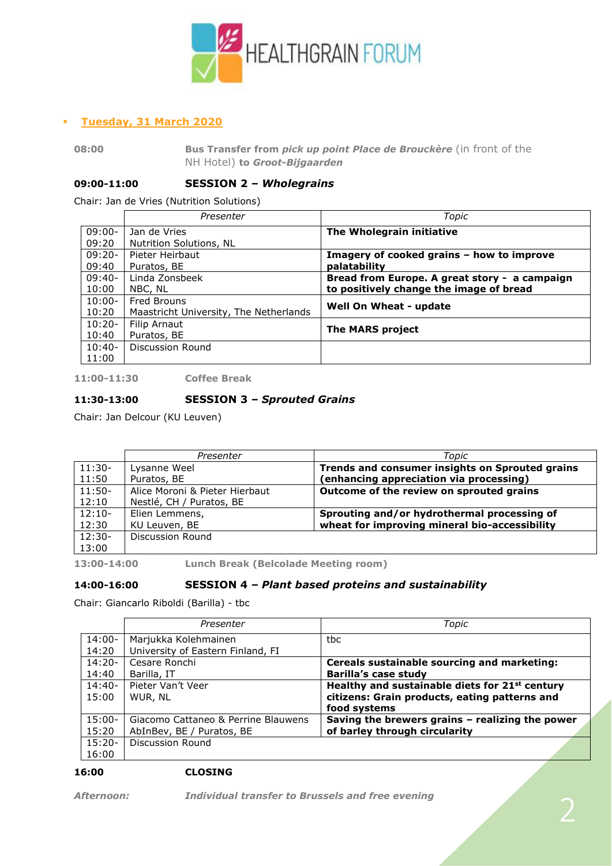

## ▪ **Tuesday, 31 March 2020**

**08:00 Bus Transfer from** *pick up point Place de Brouckère* (in front of the NH Hotel) **to** *Groot-Bijgaarden* 

#### **09:00-11:00 SESSION 2 –** *Wholegrains*

Chair: Jan de Vries (Nutrition Solutions)

|          | Presenter                              | Topic                                         |
|----------|----------------------------------------|-----------------------------------------------|
| 09:00-   | Jan de Vries                           | The Wholegrain initiative                     |
| 09:20    | Nutrition Solutions, NL                |                                               |
| $09:20-$ | Pieter Heirbaut                        | Imagery of cooked grains - how to improve     |
| 09:40    | Puratos, BE                            | palatability                                  |
| $09:40-$ | Linda Zonsbeek                         | Bread from Europe. A great story - a campaign |
| 10:00    | NBC, NL                                | to positively change the image of bread       |
| $10:00-$ | Fred Brouns                            | Well On Wheat - update                        |
| 10:20    | Maastricht University, The Netherlands |                                               |
| $10:20-$ | Filip Arnaut                           | <b>The MARS project</b>                       |
| 10:40    | Puratos, BE                            |                                               |
| $10:40-$ | Discussion Round                       |                                               |
| 11:00    |                                        |                                               |

**11:00-11:30 Coffee Break**

## **11:30-13:00 SESSION 3 –** *Sprouted Grains*

Chair: Jan Delcour (KU Leuven)

|          | Presenter                      | Topic                                           |
|----------|--------------------------------|-------------------------------------------------|
| $11:30-$ | Lysanne Weel                   | Trends and consumer insights on Sprouted grains |
| 11:50    | Puratos, BE                    | (enhancing appreciation via processing)         |
| $11:50-$ | Alice Moroni & Pieter Hierbaut | Outcome of the review on sprouted grains        |
| 12:10    | Nestlé, CH / Puratos, BE       |                                                 |
| $12:10-$ | Elien Lemmens,                 | Sprouting and/or hydrothermal processing of     |
| 12:30    | KU Leuven, BE                  | wheat for improving mineral bio-accessibility   |
| $12:30-$ | <b>Discussion Round</b>        |                                                 |
| 13:00    |                                |                                                 |

**13:00-14:00 Lunch Break (Belcolade Meeting room)**

#### **14:00-16:00 SESSION 4 –** *Plant based proteins and sustainability*

Chair: Giancarlo Riboldi (Barilla) - tbc

|           | Presenter                           | Topic                                                      |
|-----------|-------------------------------------|------------------------------------------------------------|
| $14:00 -$ | Marjukka Kolehmainen                | tbc                                                        |
| 14:20     | University of Eastern Finland, FI   |                                                            |
| $14:20-$  | Cesare Ronchi                       | Cereals sustainable sourcing and marketing:                |
| 14:40     | Barilla, IT                         | <b>Barilla's case study</b>                                |
| $14:40-$  | Pieter Van't Veer                   | Healthy and sustainable diets for 21 <sup>st</sup> century |
| 15:00     | WUR, NL                             | citizens: Grain products, eating patterns and              |
|           |                                     | food systems                                               |
| $15:00-$  | Giacomo Cattaneo & Perrine Blauwens | Saving the brewers grains - realizing the power            |
| 15:20     | AbInBev, BE / Puratos, BE           | of barley through circularity                              |
| $15:20-$  | Discussion Round                    |                                                            |
| 16:00     |                                     |                                                            |

#### **16:00 CLOSING**

*Afternoon: Individual transfer to Brussels and free evening*